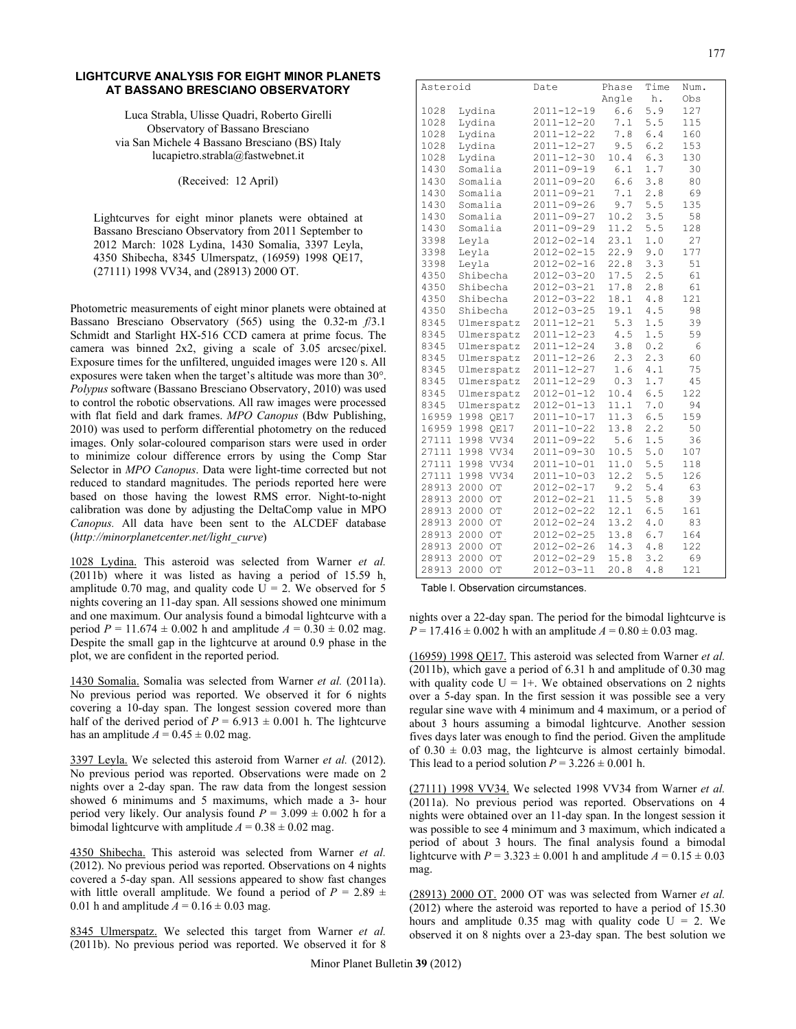## **LIGHTCURVE ANALYSIS FOR EIGHT MINOR PLANETS AT BASSANO BRESCIANO OBSERVATORY**

Luca Strabla, Ulisse Quadri, Roberto Girelli Observatory of Bassano Bresciano via San Michele 4 Bassano Bresciano (BS) Italy lucapietro.strabla@fastwebnet.it

(Received: 12 April)

Lightcurves for eight minor planets were obtained at Bassano Bresciano Observatory from 2011 September to 2012 March: 1028 Lydina, 1430 Somalia, 3397 Leyla, 4350 Shibecha, 8345 Ulmerspatz, (16959) 1998 QE17, (27111) 1998 VV34, and (28913) 2000 OT.

Photometric measurements of eight minor planets were obtained at Bassano Bresciano Observatory (565) using the 0.32-m *f*/3.1 Schmidt and Starlight HX-516 CCD camera at prime focus. The camera was binned 2x2, giving a scale of 3.05 arcsec/pixel. Exposure times for the unfiltered, unguided images were 120 s. All exposures were taken when the target's altitude was more than 30°. *Polypus* software (Bassano Bresciano Observatory, 2010) was used to control the robotic observations. All raw images were processed with flat field and dark frames. *MPO Canopus* (Bdw Publishing, 2010) was used to perform differential photometry on the reduced images. Only solar-coloured comparison stars were used in order to minimize colour difference errors by using the Comp Star Selector in *MPO Canopus*. Data were light-time corrected but not reduced to standard magnitudes. The periods reported here were based on those having the lowest RMS error. Night-to-night calibration was done by adjusting the DeltaComp value in MPO *Canopus.* All data have been sent to the ALCDEF database (*http://minorplanetcenter.net/light\_curve*)

1028 Lydina. This asteroid was selected from Warner *et al.* (2011b) where it was listed as having a period of 15.59 h, amplitude 0.70 mag, and quality code  $U = 2$ . We observed for 5 nights covering an 11-day span. All sessions showed one minimum and one maximum. Our analysis found a bimodal lightcurve with a period  $P = 11.674 \pm 0.002$  h and amplitude  $A = 0.30 \pm 0.02$  mag. Despite the small gap in the lightcurve at around 0.9 phase in the plot, we are confident in the reported period.

1430 Somalia. Somalia was selected from Warner *et al.* (2011a). No previous period was reported. We observed it for 6 nights covering a 10-day span. The longest session covered more than half of the derived period of  $P = 6.913 \pm 0.001$  h. The lightcurve has an amplitude  $A = 0.45 \pm 0.02$  mag.

3397 Leyla. We selected this asteroid from Warner *et al.* (2012). No previous period was reported. Observations were made on 2 nights over a 2-day span. The raw data from the longest session showed 6 minimums and 5 maximums, which made a 3- hour period very likely. Our analysis found  $P = 3.099 \pm 0.002$  h for a bimodal lightcurve with amplitude  $A = 0.38 \pm 0.02$  mag.

4350 Shibecha. This asteroid was selected from Warner *et al.* (2012). No previous period was reported. Observations on 4 nights covered a 5-day span. All sessions appeared to show fast changes with little overall amplitude. We found a period of  $P = 2.89 \pm 1.00$ 0.01 h and amplitude  $\overline{A} = 0.16 \pm 0.03$  mag.

8345 Ulmerspatz. We selected this target from Warner *et al.* (2011b). No previous period was reported. We observed it for 8

| Asteroid |       |               | Date                     | Phase   | Time         | Num. |
|----------|-------|---------------|--------------------------|---------|--------------|------|
|          |       |               |                          | Angle   | h.           | Obs  |
|          | 1028  | Lydina        | 2011-12-19               | 6.6     | 5.9          | 127  |
|          | 1028  | Lydina        | $2011 - 12 - 20$         | 7.1     | $5.5$        | 115  |
|          | 1028  | Lydina        | 2011-12-22               | 7.8     | 6.4          | 160  |
|          | 1028  | Lydina        | 2011-12-27               | 9.5     | 6.2          | 153  |
|          | 1028  | Lydina        | 2011-12-30<br>2011-09-19 | 10.4    | 6.3          | 130  |
|          | 1430  | Somalia       |                          | 6.1     | 1.7          | 30   |
|          | 1430  | Somalia       | 2011-09-20               | $6.6\,$ | 3.8          | 80   |
|          | 1430  | Somalia       | $2011 - 09 - 21$         | 7.1     | 2.8          | 69   |
|          | 1430  | Somalia       | $2011 - 09 - 26$         | 9.7     | 5.5          | 135  |
|          | 1430  | Somalia       | 2011-09-27               | 10.2    | 3.5          | 58   |
|          | 1430  | Somalia       | $2011 - 09 - 29$         | 11.2    | 5.5          | 128  |
|          | 3398  | Leyla         | $2012 - 02 - 14$         | 23.1    | $1\, . \, 0$ | 27   |
|          | 3398  | Leyla         | $2012 - 02 - 15$         | 22.9    | 9.0          | 177  |
|          | 3398  | Leyla         | 2012-02-16<br>2012-03-20 | 22.8    | 3.3          | 51   |
|          | 4350  | Shibecha      |                          | 17.5    | 2.5          | 61   |
|          | 4350  | Shibecha      | $2012 - 03 - 21$         | 17.8    | 2.8          | 61   |
|          | 4350  | Shibecha      | $2012 - 03 - 22$         | 18.1    | $4.8$        | 121  |
|          | 4350  | Shibecha      | $2012 - 03 - 25$         | 19.1    | 4.5          | 98   |
|          | 8345  | Ulmerspatz    | $2011 - 12 - 21$         | 5.3     | 1.5          | 39   |
|          | 8345  | Ulmerspatz    | $2011 - 12 - 23$         | 4.5     | 1.5          | 59   |
|          | 8345  | Ulmerspatz    | $2011 - 12 - 24$         | 3.8     | 0.2          | 6    |
|          | 8345  | Ulmerspatz    | $2011 - 12 - 26$         | 2.3     | 2.3          | 60   |
|          | 8345  | Ulmerspatz    | $2011 - 12 - 27$         | 1.6     | 4.1          | 75   |
|          | 8345  | Ulmerspatz    | $2011 - 12 - 29$         | 0.3     | 1.7          | 45   |
|          | 8345  | Ulmerspatz    | $2012 - 01 - 12$         | 10.4    | 6.5          | 122  |
|          | 8345  | Ulmerspatz    | $2012 - 01 - 13$         | 11.1    | 7.0          | 94   |
|          | 16959 | 1998 QE17     | $2011 - 10 - 17$         | 11.3    | 6.5          | 159  |
|          | 16959 | 1998 QE17     | $2011 - 10 - 22$         | 13.8    | 2.2          | 50   |
|          | 27111 | 1998 VV34     | $2011 - 09 - 22$         | 5.6     | $1.5\,$      | 36   |
|          | 27111 | 1998 VV34     | $2011 - 09 - 30$         | 10.5    | $5.0\,$      | 107  |
|          | 27111 | 1998 VV34     | $2011 - 10 - 01$         | 11.0    | 5.5          | 118  |
|          | 27111 | 1998 VV34     | $2011 - 10 - 03$         | 12.2    | 5.5          | 126  |
|          |       | 28913 2000 OT | $2012 - 02 - 17$         | 9.2     | 5.4          | 63   |
|          |       | 28913 2000 OT | 2012-02-21               | 11.5    | 5.8          | 39   |
|          | 28913 | 2000 OT       | $2012 - 02 - 22$         | 12.1    | $6.5\,$      | 161  |
|          |       | 28913 2000 OT | $2012 - 02 - 24$         | 13.2    | 4.0          | 83   |
|          | 28913 | 2000 OT       | $2012 - 02 - 25$         | 13.8    | 6.7          | 164  |
|          | 28913 | 2000<br>OT    | $2012 - 02 - 26$         | 14.3    | 4.8          | 122  |
|          | 28913 | 2000<br>ОT    | $2012 - 02 - 29$         | 15.8    | 3.2          | 69   |
|          | 28913 | 2000<br>OT    | 2012-03-11               | 20.8    | 4.8          | 121  |

Table I. Observation circumstances.

nights over a 22-day span. The period for the bimodal lightcurve is  $P = 17.416 \pm 0.002$  h with an amplitude  $A = 0.80 \pm 0.03$  mag.

(16959) 1998 QE17. This asteroid was selected from Warner *et al.* (2011b), which gave a period of 6.31 h and amplitude of 0.30 mag with quality code  $U = 1+$ . We obtained observations on 2 nights over a 5-day span. In the first session it was possible see a very regular sine wave with 4 minimum and 4 maximum, or a period of about 3 hours assuming a bimodal lightcurve. Another session fives days later was enough to find the period. Given the amplitude of  $0.30 \pm 0.03$  mag, the lightcurve is almost certainly bimodal. This lead to a period solution  $P = 3.226 \pm 0.001$  h.

(27111) 1998 VV34. We selected 1998 VV34 from Warner *et al.* (2011a). No previous period was reported. Observations on 4 nights were obtained over an 11-day span. In the longest session it was possible to see 4 minimum and 3 maximum, which indicated a period of about 3 hours. The final analysis found a bimodal lightcurve with  $P = 3.323 \pm 0.001$  h and amplitude  $A = 0.15 \pm 0.03$ mag.

(28913) 2000 OT. 2000 OT was was selected from Warner *et al.* (2012) where the asteroid was reported to have a period of 15.30 hours and amplitude  $0.35$  mag with quality code  $U = 2$ . We observed it on 8 nights over a 23-day span. The best solution we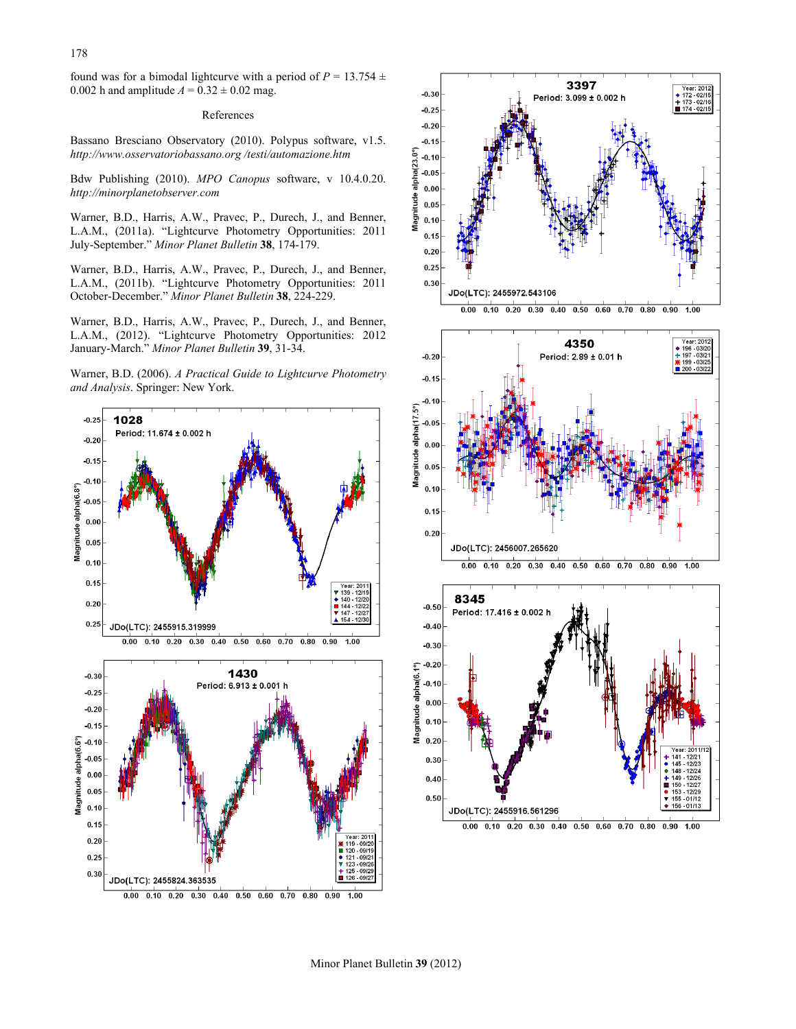178

found was for a bimodal lightcurve with a period of  $P = 13.754 \pm 10^{-10}$ 0.002 h and amplitude  $A = 0.32 \pm 0.02$  mag.

## References

Bassano Bresciano Observatory (2010). Polypus software, v1.5. *http://www.osservatoriobassano.org /testi/automazione.htm*

Bdw Publishing (2010). *MPO Canopus* software, v 10.4.0.20. *http://minorplanetobserver.com*

Warner, B.D., Harris, A.W., Pravec, P., Durech, J., and Benner, L.A.M., (2011a). "Lightcurve Photometry Opportunities: 2011 July-September." *Minor Planet Bulletin* **38**, 174-179.

Warner, B.D., Harris, A.W., Pravec, P., Durech, J., and Benner, L.A.M., (2011b). "Lightcurve Photometry Opportunities: 2011 October-December." *Minor Planet Bulletin* **38**, 224-229.

Warner, B.D., Harris, A.W., Pravec, P., Durech, J., and Benner, L.A.M., (2012). "Lightcurve Photometry Opportunities: 2012 January-March." *Minor Planet Bulletin* **39**, 31-34.

Warner, B.D. (2006). *A Practical Guide to Lightcurve Photometry and Analysis*. Springer: New York.